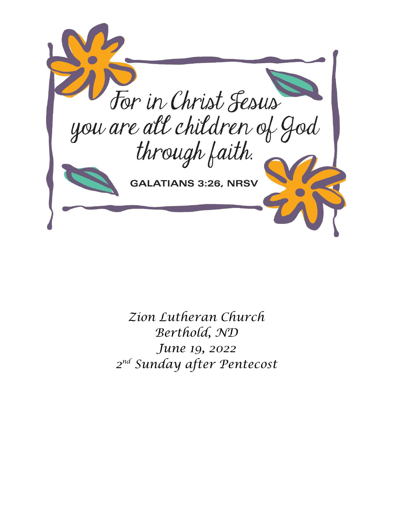

*Zion Lutheran Church Berthold, ND June 19, 2022 2 nd Sunday after Pentecost*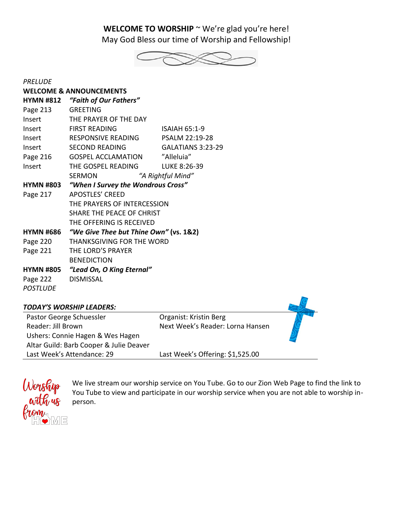WELCOME TO WORSHIP ~ We're glad you're here! May God Bless our time of Worship and Fellowship!



| <b>PRELUDE</b>                     |                                        |                      |  |  |
|------------------------------------|----------------------------------------|----------------------|--|--|
| <b>WELCOME &amp; ANNOUNCEMENTS</b> |                                        |                      |  |  |
| <b>HYMN #812</b>                   | "Faith of Our Fathers"                 |                      |  |  |
| Page 213                           | <b>GREETING</b>                        |                      |  |  |
| Insert                             | THE PRAYER OF THE DAY                  |                      |  |  |
| Insert                             | <b>FIRST READING</b>                   | <b>ISAIAH 65:1-9</b> |  |  |
| Insert                             | RESPONSIVE READING                     | PSALM 22:19-28       |  |  |
| Insert                             | <b>SECOND READING</b>                  | GALATIANS 3:23-29    |  |  |
| Page 216                           | <b>GOSPEL ACCLAMATION</b>              | "Alleluia"           |  |  |
| Insert                             | THE GOSPEL READING                     | LUKE 8:26-39         |  |  |
|                                    | <b>SERMON</b>                          | "A Rightful Mind"    |  |  |
| <b>HYMN #803</b>                   | "When I Survey the Wondrous Cross"     |                      |  |  |
| Page 217                           | <b>APOSTLES' CREED</b>                 |                      |  |  |
|                                    | THE PRAYERS OF INTERCESSION            |                      |  |  |
|                                    | SHARE THE PEACE OF CHRIST              |                      |  |  |
|                                    | THE OFFERING IS RECEIVED               |                      |  |  |
| <b>HYMN #686</b>                   | "We Give Thee but Thine Own" (vs. 1&2) |                      |  |  |
| Page 220                           | THANKSGIVING FOR THE WORD              |                      |  |  |
| Page 221                           | THE LORD'S PRAYER                      |                      |  |  |
|                                    | <b>BENEDICTION</b>                     |                      |  |  |
| <b>HYMN #805</b>                   | "Lead On, O King Eternal"              |                      |  |  |
| Page 222                           | <b>DISMISSAL</b>                       |                      |  |  |
| <b>POSTLUDE</b>                    |                                        |                      |  |  |
|                                    |                                        |                      |  |  |





We live stream our worship service on You Tube. Go to our Zion Web Page to find the link to You Tube to view and participate in our worship service when you are not able to worship inperson.